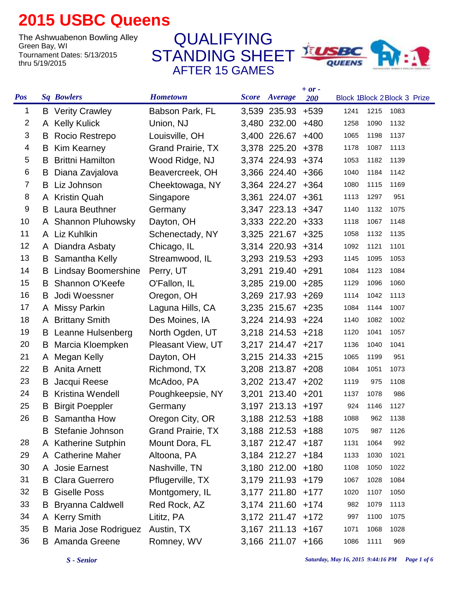## **2015 USBC Queens**

The Ashwuabenon Bowling Alley<br>Green Bay, WI Tournament Dates: 5/13/2015 thru 5/19/2015

STANDING SHEET AFTER 15 GAMES QUALIFYING



| <b>Pos</b> |   | <b>Sq Bowlers</b>             | <b>Hometown</b>          | <b>Score</b> Average | $+ or -$<br>200 |      |      | Block 1Block 2Block 3 Prize |
|------------|---|-------------------------------|--------------------------|----------------------|-----------------|------|------|-----------------------------|
| 1          |   | <b>B</b> Verity Crawley       | Babson Park, FL          | 3,539 235.93         | $+539$          | 1241 | 1215 | 1083                        |
| 2          |   | A Kelly Kulick                | Union, NJ                | 3,480 232.00         | $+480$          | 1258 | 1090 | 1132                        |
| 3          | B | Rocio Restrepo                | Louisville, OH           | 3,400 226.67         | $+400$          | 1065 | 1198 | 1137                        |
| 4          | B | <b>Kim Kearney</b>            | <b>Grand Prairie, TX</b> | 3,378 225.20         | +378            | 1178 | 1087 | 1113                        |
| 5          | B | <b>Brittni Hamilton</b>       | Wood Ridge, NJ           | 3,374 224.93 +374    |                 | 1053 | 1182 | 1139                        |
| 6          | B | Diana Zavjalova               | Beavercreek, OH          | 3,366 224.40         | $+366$          | 1040 | 1184 | 1142                        |
| 7          | B | Liz Johnson                   | Cheektowaga, NY          | 3,364 224.27         | $+364$          | 1080 | 1115 | 1169                        |
| 8          |   | A Kristin Quah                | Singapore                | 3,361 224.07 +361    |                 | 1113 | 1297 | 951                         |
| 9          | B | Laura Beuthner                | Germany                  | 3,347 223.13 +347    |                 | 1140 | 1132 | 1075                        |
| 10         |   | A Shannon Pluhowsky           | Dayton, OH               | 3,333 222.20 +333    |                 | 1118 | 1067 | 1148                        |
| 11         |   | A Liz Kuhlkin                 | Schenectady, NY          | 3,325 221.67 +325    |                 | 1058 | 1132 | 1135                        |
| 12         | A | Diandra Asbaty                | Chicago, IL              | 3,314 220.93 +314    |                 | 1092 | 1121 | 1101                        |
| 13         |   | <b>B</b> Samantha Kelly       | Streamwood, IL           | 3,293 219.53 +293    |                 | 1145 | 1095 | 1053                        |
| 14         |   | <b>B</b> Lindsay Boomershine  | Perry, UT                | 3,291 219.40 +291    |                 | 1084 | 1123 | 1084                        |
| 15         | B | Shannon O'Keefe               | O'Fallon, IL             | 3,285 219.00 +285    |                 | 1129 | 1096 | 1060                        |
| 16         | B | Jodi Woessner                 | Oregon, OH               | 3,269 217.93 +269    |                 | 1114 | 1042 | 1113                        |
| 17         |   | A Missy Parkin                | Laguna Hills, CA         | 3,235 215.67 +235    |                 | 1084 | 1144 | 1007                        |
| 18         |   | A Brittany Smith              | Des Moines, IA           | 3,224 214.93 +224    |                 | 1140 | 1082 | 1002                        |
| 19         |   | <b>B</b> Leanne Hulsenberg    | North Ogden, UT          | 3,218 214.53 +218    |                 | 1120 | 1041 | 1057                        |
| 20         | B | Marcia Kloempken              | Pleasant View, UT        | 3,217 214.47 +217    |                 | 1136 | 1040 | 1041                        |
| 21         |   | A Megan Kelly                 | Dayton, OH               | 3,215 214.33 +215    |                 | 1065 | 1199 | 951                         |
| 22         | B | Anita Arnett                  | Richmond, TX             | 3,208 213.87 +208    |                 | 1084 | 1051 | 1073                        |
| 23         | B | Jacqui Reese                  | McAdoo, PA               | 3,202 213.47 +202    |                 | 1119 | 975  | 1108                        |
| 24         | B | Kristina Wendell              | Poughkeepsie, NY         | 3,201 213.40 +201    |                 | 1137 | 1078 | 986                         |
| 25         | B | <b>Birgit Poeppler</b>        | Germany                  | 3,197 213.13 +197    |                 | 924  | 1146 | 1127                        |
| 26         |   | <b>B</b> Samantha How         | Oregon City, OR          | 3,188 212.53 +188    |                 | 1088 | 962  | 1138                        |
|            |   | <b>B</b> Stefanie Johnson     | <b>Grand Prairie, TX</b> | 3,188 212.53 +188    |                 | 1075 | 987  | 1126                        |
| 28         |   | A Katherine Sutphin           | Mount Dora, FL           | 3,187 212.47 +187    |                 | 1131 | 1064 | 992                         |
| 29         |   | A Catherine Maher             | Altoona, PA              | 3,184 212.27 +184    |                 | 1133 | 1030 | 1021                        |
| 30         |   | A Josie Earnest               | Nashville, TN            | 3,180 212.00 +180    |                 | 1108 | 1050 | 1022                        |
| 31         |   | <b>B</b> Clara Guerrero       | Pflugerville, TX         | 3,179 211.93 +179    |                 | 1067 | 1028 | 1084                        |
| 32         |   | <b>B</b> Giselle Poss         | Montgomery, IL           | 3,177 211.80 +177    |                 | 1020 | 1107 | 1050                        |
| 33         |   | <b>B</b> Bryanna Caldwell     | Red Rock, AZ             | 3,174 211.60 +174    |                 | 982  | 1079 | 1113                        |
| 34         |   | A Kerry Smith                 | Lititz, PA               | 3,172 211.47 +172    |                 | 997  | 1100 | 1075                        |
| 35         |   | <b>B</b> Maria Jose Rodriguez | Austin, TX               | 3,167 211.13 +167    |                 | 1071 | 1068 | 1028                        |
| 36         |   | <b>B</b> Amanda Greene        | Romney, WV               | 3,166 211.07 +166    |                 | 1086 | 1111 | 969                         |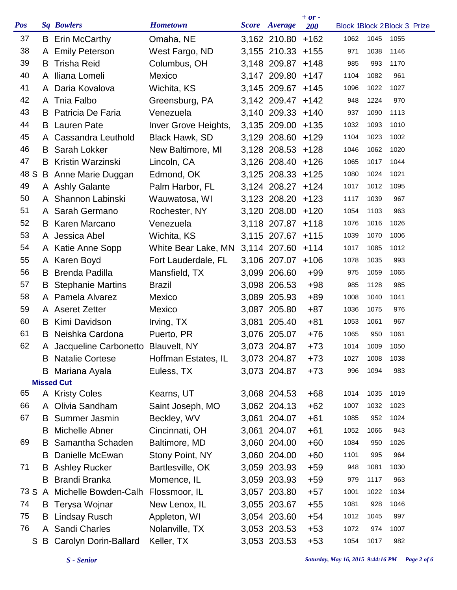| <b>Pos</b> |    | <b>Sq Bowlers</b>                    | <b>Hometown</b>      | Score Average     | $+ or -$<br><b>200</b> | Block 1Block 2Block 3 Prize |           |      |  |
|------------|----|--------------------------------------|----------------------|-------------------|------------------------|-----------------------------|-----------|------|--|
| 37         |    | <b>B</b> Erin McCarthy               | Omaha, NE            | 3,162 210.80      | $+162$                 | 1062                        | 1045      | 1055 |  |
| 38         |    | A Emily Peterson                     | West Fargo, ND       | 3,155 210.33 +155 |                        | 971                         | 1038      | 1146 |  |
| 39         | B. | <b>Trisha Reid</b>                   | Columbus, OH         | 3,148 209.87 +148 |                        | 985                         | 993       | 1170 |  |
| 40         |    | A Iliana Lomeli                      | Mexico               | 3,147 209.80 +147 |                        | 1104                        | 1082      | 961  |  |
| 41         |    | A Daria Kovalova                     | Wichita, KS          | 3,145 209.67 +145 |                        | 1096                        | 1022      | 1027 |  |
| 42         |    | A Tnia Falbo                         | Greensburg, PA       | 3,142 209.47 +142 |                        | 948                         | 1224      | 970  |  |
| 43         |    | <b>B</b> Patricia De Faria           | Venezuela            | 3,140 209.33 +140 |                        | 937                         | 1090      | 1113 |  |
| 44         |    | <b>B</b> Lauren Pate                 | Inver Grove Heights, | 3,135 209.00      | $+135$                 | 1032                        | 1093      | 1010 |  |
| 45         | A  | Cassandra Leuthold                   | Black Hawk, SD       | 3,129 208.60      | +129                   | 1104                        | 1023      | 1002 |  |
| 46         | B  | Sarah Lokker                         | New Baltimore, MI    | 3,128 208.53 +128 |                        | 1046                        | 1062      | 1020 |  |
| 47         |    | <b>B</b> Kristin Warzinski           | Lincoln, CA          | 3,126 208.40 +126 |                        | 1065                        | 1017      | 1044 |  |
| 48 S       |    | B Anne Marie Duggan                  | Edmond, OK           | 3,125 208.33 +125 |                        | 1080                        | 1024      | 1021 |  |
| 49         |    | A Ashly Galante                      | Palm Harbor, FL      | 3,124 208.27 +124 |                        | 1017                        | 1012      | 1095 |  |
| 50         | A  | Shannon Labinski                     | Wauwatosa, WI        | 3,123 208.20 +123 |                        | 1117                        | 1039      | 967  |  |
| 51         |    | A Sarah Germano                      | Rochester, NY        | 3,120 208.00      | $+120$                 | 1054                        | 1103      | 963  |  |
| 52         |    | <b>B</b> Karen Marcano               | Venezuela            | 3,118 207.87      | $+118$                 | 1076                        | 1016      | 1026 |  |
| 53         |    | A Jessica Abel                       | Wichita, KS          | 3,115 207.67      | $+115$                 | 1039                        | 1070      | 1006 |  |
| 54         |    | A Katie Anne Sopp                    | White Bear Lake, MN  | 3,114 207.60      | $+114$                 | 1017                        | 1085      | 1012 |  |
| 55         |    | A Karen Boyd                         | Fort Lauderdale, FL  | 3,106 207.07      | $+106$                 | 1078                        | 1035      | 993  |  |
| 56         |    | <b>B</b> Brenda Padilla              | Mansfield, TX        | 3,099 206.60      | $+99$                  | 975                         | 1059      | 1065 |  |
| 57         |    | <b>B</b> Stephanie Martins           | <b>Brazil</b>        | 3,098 206.53      | $+98$                  | 985                         | 1128      | 985  |  |
| 58         |    | A Pamela Alvarez                     | Mexico               | 3,089 205.93      | $+89$                  | 1008                        | 1040      | 1041 |  |
| 59         |    | A Aseret Zetter                      | Mexico               | 3,087 205.80      | $+87$                  | 1036                        | 1075      | 976  |  |
| 60         | B. | Kimi Davidson                        | Irving, TX           | 3,081 205.40      | $+81$                  | 1053                        | 1061      | 967  |  |
| 61         | B. | Neishka Cardona                      | Puerto, PR           | 3,076 205.07      | $+76$                  | 1065                        | 950       | 1061 |  |
| 62         |    | A Jacqueline Carbonetto Blauvelt, NY |                      | 3,073 204.87      | $+73$                  |                             | 1014 1009 | 1050 |  |
|            | B  | <b>Natalie Cortese</b>               | Hoffman Estates, IL  | 3,073 204.87      | $+73$                  | 1027                        | 1008      | 1038 |  |
|            | B  | Mariana Ayala                        | Euless, TX           | 3,073 204.87      | $+73$                  | 996                         | 1094      | 983  |  |
|            |    | <b>Missed Cut</b>                    |                      |                   |                        |                             |           |      |  |
| 65         |    | A Kristy Coles                       | Kearns, UT           | 3,068 204.53      | $+68$                  | 1014                        | 1035      | 1019 |  |
| 66         |    | A Olivia Sandham                     | Saint Joseph, MO     | 3,062 204.13      | $+62$                  | 1007                        | 1032      | 1023 |  |
| 67         | B  | Summer Jasmin                        | Beckley, WV          | 3,061 204.07      | $+61$                  | 1085                        | 952       | 1024 |  |
|            | B  | <b>Michelle Abner</b>                | Cincinnati, OH       | 3,061 204.07      | $+61$                  | 1052                        | 1066      | 943  |  |
| 69         | B. | Samantha Schaden                     | Baltimore, MD        | 3,060 204.00      | $+60$                  | 1084                        | 950       | 1026 |  |
|            | B  | Danielle McEwan                      | Stony Point, NY      | 3,060 204.00      | $+60$                  | 1101                        | 995       | 964  |  |
| 71         |    | <b>B</b> Ashley Rucker               | Bartlesville, OK     | 3,059 203.93      | $+59$                  | 948                         | 1081      | 1030 |  |
|            | B  | <b>Brandi Branka</b>                 | Momence, IL          | 3,059 203.93      | $+59$                  | 979                         | 1117      | 963  |  |
|            |    | 73 S A Michelle Bowden-Calh          | Flossmoor, IL        | 3,057 203.80      | $+57$                  | 1001                        | 1022      | 1034 |  |
| 74         |    | <b>B</b> Terysa Wojnar               | New Lenox, IL        | 3,055 203.67      | $+55$                  | 1081                        | 928       | 1046 |  |
| 75         | B  | <b>Lindsay Rusch</b>                 | Appleton, WI         | 3,054 203.60      | $+54$                  | 1012                        | 1045      | 997  |  |
| 76         | A  | <b>Sandi Charles</b>                 | Nolanville, TX       | 3,053 203.53      | $+53$                  | 1072                        | 974       | 1007 |  |
| S          | B  | Carolyn Dorin-Ballard                | Keller, TX           | 3,053 203.53      | $+53$                  | 1054                        | 1017      | 982  |  |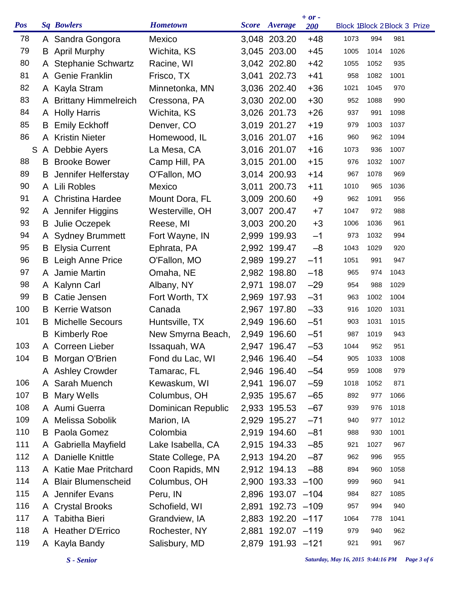| <b>Pos</b> |    | <b>Sq Bowlers</b>       | <b>Hometown</b>    |       | Score Average     | $+ or -$<br><b>200</b> |      |      | Block 1Block 2Block 3 Prize |
|------------|----|-------------------------|--------------------|-------|-------------------|------------------------|------|------|-----------------------------|
| 78         |    | A Sandra Gongora        | Mexico             |       | 3,048 203.20      | $+48$                  | 1073 | 994  | 981                         |
| 79         |    | <b>B</b> April Murphy   | Wichita, KS        |       | 3,045 203.00      | $+45$                  | 1005 | 1014 | 1026                        |
| 80         |    | A Stephanie Schwartz    | Racine, WI         |       | 3,042 202.80      | $+42$                  | 1055 | 1052 | 935                         |
| 81         |    | A Genie Franklin        | Frisco, TX         |       | 3,041 202.73      | $+41$                  | 958  | 1082 | 1001                        |
| 82         |    | A Kayla Stram           | Minnetonka, MN     |       | 3,036 202.40      | $+36$                  | 1021 | 1045 | 970                         |
| 83         |    | A Brittany Himmelreich  | Cressona, PA       |       | 3,030 202.00      | $+30$                  | 952  | 1088 | 990                         |
| 84         |    | A Holly Harris          | Wichita, KS        |       | 3,026 201.73      | $+26$                  | 937  | 991  | 1098                        |
| 85         | B  | <b>Emily Eckhoff</b>    | Denver, CO         |       | 3,019 201.27      | $+19$                  | 979  | 1003 | 1037                        |
| 86         | A  | <b>Kristin Nieter</b>   | Homewood, IL       |       | 3,016 201.07      | $+16$                  | 960  | 962  | 1094                        |
| S          |    | A Debbie Ayers          | La Mesa, CA        |       | 3,016 201.07      | $+16$                  | 1073 | 936  | 1007                        |
| 88         |    | <b>B</b> Brooke Bower   | Camp Hill, PA      |       | 3,015 201.00      | $+15$                  | 976  | 1032 | 1007                        |
| 89         | B  | Jennifer Helferstay     | O'Fallon, MO       |       | 3,014 200.93      | $+14$                  | 967  | 1078 | 969                         |
| 90         |    | A Lili Robles           | Mexico             |       | 3,011 200.73      | $+11$                  | 1010 | 965  | 1036                        |
| 91         | A  | <b>Christina Hardee</b> | Mount Dora, FL     |       | 3,009 200.60      | $+9$                   | 962  | 1091 | 956                         |
| 92         |    | A Jennifer Higgins      | Westerville, OH    |       | 3,007 200.47      | $+7$                   | 1047 | 972  | 988                         |
| 93         | B  | Julie Oczepek           | Reese, MI          |       | 3,003 200.20      | $+3$                   | 1006 | 1036 | 961                         |
| 94         | A  | <b>Sydney Brummett</b>  | Fort Wayne, IN     |       | 2,999 199.93      | $-1$                   | 973  | 1032 | 994                         |
| 95         | B  | <b>Elysia Current</b>   | Ephrata, PA        |       | 2,992 199.47      | $-8$                   | 1043 | 1029 | 920                         |
| 96         | B  | Leigh Anne Price        | O'Fallon, MO       |       | 2,989 199.27      | $-11$                  | 1051 | 991  | 947                         |
| 97         | A  | Jamie Martin            | Omaha, NE          |       | 2,982 198.80      | $-18$                  | 965  | 974  | 1043                        |
| 98         | A  | Kalynn Carl             | Albany, NY         | 2,971 | 198.07            | $-29$                  | 954  | 988  | 1029                        |
| 99         | B  | Catie Jensen            | Fort Worth, TX     | 2,969 | 197.93            | $-31$                  | 963  | 1002 | 1004                        |
| 100        | B. | <b>Kerrie Watson</b>    | Canada             | 2,967 | 197.80            | $-33$                  | 916  | 1020 | 1031                        |
| 101        | B  | <b>Michelle Secours</b> | Huntsville, TX     |       | 2,949 196.60      | $-51$                  | 903  | 1031 | 1015                        |
|            | B  | <b>Kimberly Roe</b>     | New Smyrna Beach,  |       | 2,949 196.60      | $-51$                  | 987  | 1019 | 943                         |
| 103        |    | A Correen Lieber        | Issaquah, WA       |       | 2,947 196.47      | $-53$                  | 1044 | 952  | 951                         |
| 104        | B  | Morgan O'Brien          | Fond du Lac, WI    |       | 2,946 196.40      | $-54$                  | 905  | 1033 | 1008                        |
|            |    | A Ashley Crowder        | Tamarac, FL        |       | 2,946 196.40      | $-54$                  | 959  | 1008 | 979                         |
| 106        |    | A Sarah Muench          | Kewaskum, WI       |       | 2,941 196.07      | $-59$                  | 1018 | 1052 | 871                         |
| 107        | B  | Mary Wells              | Columbus, OH       |       | 2,935 195.67      | $-65$                  | 892  | 977  | 1066                        |
| 108        |    | A Aumi Guerra           | Dominican Republic |       | 2,933 195.53      | $-67$                  | 939  | 976  | 1018                        |
| 109        |    | A Melissa Sobolik       | Marion, IA         |       | 2,929 195.27      | $-71$                  | 940  | 977  | 1012                        |
| 110        |    | <b>B</b> Paola Gomez    | Colombia           |       | 2,919 194.60      | $-81$                  | 988  | 930  | 1001                        |
| 111        | A  | Gabriella Mayfield      | Lake Isabella, CA  |       | 2,915 194.33      | $-85$                  | 921  | 1027 | 967                         |
| 112        |    | A Danielle Knittle      | State College, PA  |       | 2,913 194.20      | $-87$                  | 962  | 996  | 955                         |
| 113        |    | A Katie Mae Pritchard   | Coon Rapids, MN    |       | 2,912 194.13      | $-88$                  | 894  | 960  | 1058                        |
| 114        |    | A Blair Blumenscheid    | Columbus, OH       |       | 2,900 193.33 -100 |                        | 999  | 960  | 941                         |
| 115        |    | A Jennifer Evans        | Peru, IN           |       | 2,896 193.07 -104 |                        | 984  | 827  | 1085                        |
| 116        |    | A Crystal Brooks        | Schofield, WI      | 2,891 | 192.73 -109       |                        | 957  | 994  | 940                         |
| 117        |    | A Tabitha Bieri         | Grandview, IA      |       | 2,883 192.20 -117 |                        | 1064 | 778  | 1041                        |
| 118        |    | A Heather D'Errico      | Rochester, NY      |       | 2,881 192.07 -119 |                        | 979  | 940  | 962                         |
| 119        |    | A Kayla Bandy           | Salisbury, MD      |       | 2,879 191.93 -121 |                        | 921  | 991  | 967                         |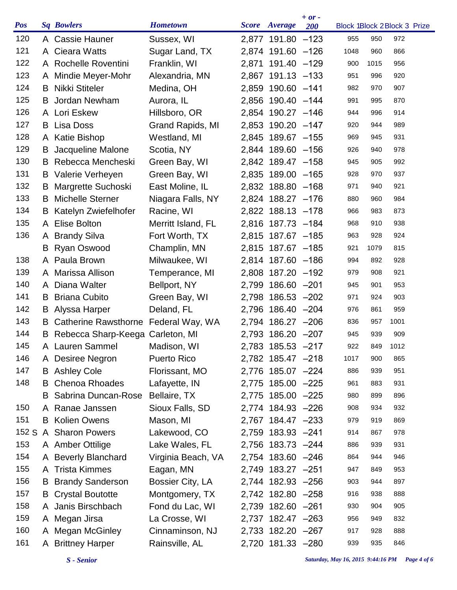| <b>Pos</b> |    | <b>Sq Bowlers</b>                    | <b>Hometown</b>    | Score Average     | $+ or -$<br><b>200</b> | Block 1Block 2Block 3 Prize |      |          |  |
|------------|----|--------------------------------------|--------------------|-------------------|------------------------|-----------------------------|------|----------|--|
| 120        |    | A Cassie Hauner                      | Sussex, WI         | 2,877 191.80 -123 |                        | 955                         | 950  | 972      |  |
| 121        |    | A Cieara Watts                       | Sugar Land, TX     | 2,874 191.60 -126 |                        | 1048                        | 960  | 866      |  |
| 122        |    | A Rochelle Roventini                 | Franklin, WI       | 2,871 191.40 -129 |                        | 900                         | 1015 | 956      |  |
| 123        |    | A Mindie Meyer-Mohr                  | Alexandria, MN     | 2,867 191.13 -133 |                        | 951                         | 996  | 920      |  |
| 124        | B. | <b>Nikki Stiteler</b>                | Medina, OH         | 2,859 190.60 -141 |                        | 982                         | 970  | 907      |  |
| 125        | B  | Jordan Newham                        | Aurora, IL         | 2,856 190.40 -144 |                        | 991                         | 995  | 870      |  |
| 126        |    | A Lori Eskew                         | Hillsboro, OR      | 2,854 190.27 -146 |                        | 944                         | 996  | 914      |  |
| 127        | B  | Lisa Doss                            | Grand Rapids, MI   | 2,853 190.20 -147 |                        | 920                         | 944  | 989      |  |
| 128        | A  | Katie Bishop                         | Westland, MI       | 2,845 189.67 -155 |                        | 969                         | 945  | 931      |  |
| 129        | B  | Jacqueline Malone                    | Scotia, NY         | 2,844 189.60 -156 |                        | 926                         | 940  | 978      |  |
| 130        | B. | Rebecca Mencheski                    | Green Bay, WI      | 2,842 189.47 -158 |                        | 945                         | 905  | 992      |  |
| 131        |    | <b>B</b> Valerie Verheyen            | Green Bay, WI      | 2,835 189.00 -165 |                        | 928                         | 970  | 937      |  |
| 132        | B  | Margrette Suchoski                   | East Moline, IL    | 2,832 188.80 -168 |                        | 971                         | 940  | 921      |  |
| 133        | B  | Michelle Sterner                     | Niagara Falls, NY  | 2,824 188.27 -176 |                        | 880                         | 960  | 984      |  |
| 134        | B  | Katelyn Zwiefelhofer                 | Racine, WI         | 2,822 188.13 -178 |                        | 966                         | 983  | 873      |  |
| 135        |    | A Elise Bolton                       | Merritt Island, FL | 2,816 187.73 -184 |                        | 968                         | 910  | 938      |  |
| 136        | A  | <b>Brandy Silva</b>                  | Fort Worth, TX     | 2,815 187.67 -185 |                        | 963                         | 928  | 924      |  |
|            | B  | Ryan Oswood                          | Champlin, MN       | 2,815 187.67 -185 |                        | 921                         | 1079 | 815      |  |
| 138        |    | A Paula Brown                        | Milwaukee, WI      | 2,814 187.60 -186 |                        | 994                         | 892  | 928      |  |
| 139        |    | A Marissa Allison                    | Temperance, MI     | 2,808 187.20 -192 |                        | 979                         | 908  | 921      |  |
| 140        |    | A Diana Walter                       | Bellport, NY       | 2,799 186.60 -201 |                        | 945                         | 901  | 953      |  |
| 141        | B  | <b>Briana Cubito</b>                 | Green Bay, WI      | 2,798 186.53 -202 |                        | 971                         | 924  | 903      |  |
| 142        |    | <b>B</b> Alyssa Harper               | Deland, FL         | 2,796 186.40 -204 |                        | 976                         | 861  | 959      |  |
| 143        | B  | Catherine Rawsthorne Federal Way, WA |                    | 2,794 186.27 -206 |                        | 836                         | 957  | 1001     |  |
| 144        | B  | Rebecca Sharp-Keega Carleton, MI     |                    | 2,793 186.20 -207 |                        | 945                         | 939  | 909      |  |
| 145        |    | A Lauren Sammel Madison, WI          |                    | 2,783 185.53 -217 |                        | 922                         |      | 849 1012 |  |
| 146        |    | A Desiree Negron                     | <b>Puerto Rico</b> | 2,782 185.47 -218 |                        | 1017                        | 900  | 865      |  |
| 147        |    | <b>B</b> Ashley Cole                 | Florissant, MO     | 2,776 185.07 -224 |                        | 886                         | 939  | 951      |  |
| 148        | B  | <b>Chenoa Rhoades</b>                | Lafayette, IN      | 2,775 185.00 -225 |                        | 961                         | 883  | 931      |  |
|            | B  | Sabrina Duncan-Rose                  | Bellaire, TX       | 2,775 185.00 -225 |                        | 980                         | 899  | 896      |  |
| 150        |    | A Ranae Janssen                      | Sioux Falls, SD    | 2,774 184.93 -226 |                        | 908                         | 934  | 932      |  |
| 151        |    | <b>B</b> Kolien Owens                | Mason, MI          | 2,767 184.47 -233 |                        | 979                         | 919  | 869      |  |
| 152 S      |    | A Sharon Powers                      | Lakewood, CO       | 2,759 183.93 -241 |                        | 914                         | 867  | 978      |  |
| 153        |    | A Amber Ottilige                     | Lake Wales, FL     | 2,756 183.73 -244 |                        | 886                         | 939  | 931      |  |
| 154        |    | A Beverly Blanchard                  | Virginia Beach, VA | 2,754 183.60 -246 |                        | 864                         | 944  | 946      |  |
| 155        |    | A Trista Kimmes                      | Eagan, MN          | 2,749 183.27 -251 |                        | 947                         | 849  | 953      |  |
| 156        | B  | <b>Brandy Sanderson</b>              | Bossier City, LA   | 2,744 182.93 -256 |                        | 903                         | 944  | 897      |  |
| 157        |    | <b>B</b> Crystal Boutotte            | Montgomery, TX     | 2,742 182.80 -258 |                        | 916                         | 938  | 888      |  |
| 158        |    | A Janis Birschbach                   | Fond du Lac, WI    | 2,739 182.60 -261 |                        | 930                         | 904  | 905      |  |
| 159        |    | A Megan Jirsa                        | La Crosse, WI      | 2,737 182.47 -263 |                        | 956                         | 949  | 832      |  |
| 160        |    | A Megan McGinley                     | Cinnaminson, NJ    | 2,733 182.20 -267 |                        | 917                         | 928  | 888      |  |
| 161        |    | A Brittney Harper                    | Rainsville, AL     | 2,720 181.33 -280 |                        | 939                         | 935  | 846      |  |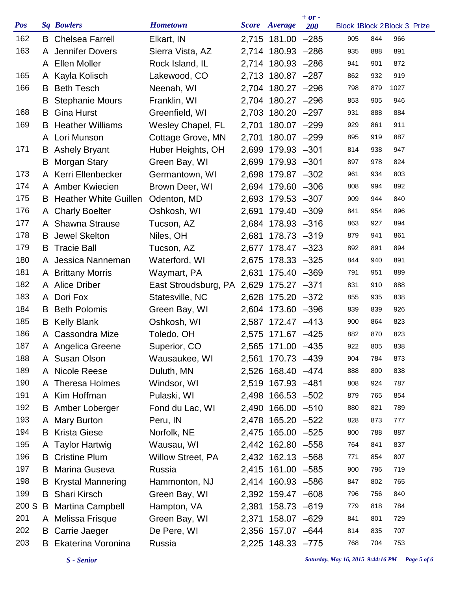| <b>Pos</b> |    | <b>Sq Bowlers</b>            | <b>Hometown</b>                        |       | Score Average     | $+ or -$<br><b>200</b> |     |     | Block 1Block 2Block 3 Prize |
|------------|----|------------------------------|----------------------------------------|-------|-------------------|------------------------|-----|-----|-----------------------------|
| 162        | B  | <b>Chelsea Farrell</b>       | Elkart, IN                             |       | 2,715 181.00 -285 |                        | 905 | 844 | 966                         |
| 163        |    | A Jennifer Dovers            | Sierra Vista, AZ                       |       | 2,714 180.93 -286 |                        | 935 | 888 | 891                         |
|            |    | A Ellen Moller               | Rock Island, IL                        |       | 2,714 180.93 -286 |                        | 941 | 901 | 872                         |
| 165        |    | A Kayla Kolisch              | Lakewood, CO                           |       | 2,713 180.87 -287 |                        | 862 | 932 | 919                         |
| 166        | B  | <b>Beth Tesch</b>            | Neenah, WI                             |       | 2,704 180.27 -296 |                        | 798 | 879 | 1027                        |
|            | B  | <b>Stephanie Mours</b>       | Franklin, WI                           |       | 2,704 180.27 -296 |                        | 853 | 905 | 946                         |
| 168        | B  | <b>Gina Hurst</b>            | Greenfield, WI                         |       | 2,703 180.20 -297 |                        | 931 | 888 | 884                         |
| 169        | B  | <b>Heather Williams</b>      | Wesley Chapel, FL                      | 2,701 | 180.07 -299       |                        | 929 | 861 | 911                         |
|            |    | A Lori Munson                | Cottage Grove, MN                      |       | 2,701 180.07 -299 |                        | 895 | 919 | 887                         |
| 171        | B  | <b>Ashely Bryant</b>         | Huber Heights, OH                      |       | 2,699 179.93 -301 |                        | 814 | 938 | 947                         |
|            | B  | Morgan Stary                 | Green Bay, WI                          |       | 2,699 179.93 -301 |                        | 897 | 978 | 824                         |
| 173        |    | A Kerri Ellenbecker          | Germantown, WI                         |       | 2,698 179.87 -302 |                        | 961 | 934 | 803                         |
| 174        |    | A Amber Kwiecien             | Brown Deer, WI                         |       | 2,694 179.60 -306 |                        | 808 | 994 | 892                         |
| 175        | B  | <b>Heather White Guillen</b> | Odenton, MD                            |       | 2,693 179.53 -307 |                        | 909 | 944 | 840                         |
| 176        |    | A Charly Boelter             | Oshkosh, WI                            |       | 2,691 179.40 -309 |                        | 841 | 954 | 896                         |
| 177        |    | A Shawna Strause             | Tucson, AZ                             |       | 2,684 178.93 -316 |                        | 863 | 927 | 894                         |
| 178        | B. | <b>Jewel Skelton</b>         | Niles, OH                              |       | 2,681 178.73 -319 |                        | 879 | 941 | 861                         |
| 179        | B  | <b>Tracie Ball</b>           | Tucson, AZ                             |       | 2,677 178.47 -323 |                        | 892 | 891 | 894                         |
| 180        |    | A Jessica Nanneman           | Waterford, WI                          |       | 2,675 178.33 -325 |                        | 844 | 940 | 891                         |
| 181        |    | A Brittany Morris            | Waymart, PA                            |       | 2,631 175.40 -369 |                        | 791 | 951 | 889                         |
| 182        |    | A Alice Driber               | East Stroudsburg, PA 2,629 175.27 -371 |       |                   |                        | 831 | 910 | 888                         |
| 183        |    | A Dori Fox                   | Statesville, NC                        |       | 2,628 175.20 -372 |                        | 855 | 935 | 838                         |
| 184        | B. | <b>Beth Polomis</b>          | Green Bay, WI                          |       | 2,604 173.60 -396 |                        | 839 | 839 | 926                         |
| 185        | B  | <b>Kelly Blank</b>           | Oshkosh, WI                            |       | 2,587 172.47 -413 |                        | 900 | 864 | 823                         |
| 186        | A  | Cassondra Mize               | Toledo, OH                             |       | 2,575 171.67 -425 |                        | 882 | 870 | 823                         |
| 187        |    | A Angelica Greene            | Superior, CO                           |       | 2,565 171.00 -435 |                        | 922 | 805 | 838                         |
| 188        |    | A Susan Olson                | Wausaukee, WI                          |       | 2,561 170.73 -439 |                        | 904 | 784 | 873                         |
| 189        |    | A Nicole Reese               | Duluth, MN                             |       | 2,526 168.40 -474 |                        | 888 | 800 | 838                         |
| 190        |    | A Theresa Holmes             | Windsor, WI                            |       | 2,519 167.93 -481 |                        | 808 | 924 | 787                         |
| 191        |    | A Kim Hoffman                | Pulaski, WI                            |       | 2,498 166.53 -502 |                        | 879 | 765 | 854                         |
| 192        |    | <b>B</b> Amber Loberger      | Fond du Lac, WI                        |       | 2,490 166.00 -510 |                        | 880 | 821 | 789                         |
| 193        |    | A Mary Burton                | Peru, IN                               |       | 2,478 165.20 -522 |                        | 828 | 873 | 777                         |
| 194        | B. | <b>Krista Giese</b>          | Norfolk, NE                            |       | 2,475 165.00 -525 |                        | 800 | 788 | 887                         |
| 195        |    | A Taylor Hartwig             | Wausau, WI                             |       | 2,442 162.80 -558 |                        | 764 | 841 | 837                         |
| 196        |    | <b>B</b> Cristine Plum       | <b>Willow Street, PA</b>               |       | 2,432 162.13 -568 |                        | 771 | 854 | 807                         |
| 197        | B  | <b>Marina Guseva</b>         | Russia                                 |       | 2,415 161.00 -585 |                        | 900 | 796 | 719                         |
| 198        | B  | <b>Krystal Mannering</b>     | Hammonton, NJ                          |       | 2,414 160.93 -586 |                        | 847 | 802 | 765                         |
| 199        | B  | <b>Shari Kirsch</b>          | Green Bay, WI                          |       | 2,392 159.47 -608 |                        | 796 | 756 | 840                         |
| 200 S      | B  | <b>Martina Campbell</b>      | Hampton, VA                            |       | 2,381 158.73 -619 |                        | 779 | 818 | 784                         |
| 201        |    | A Melissa Frisque            | Green Bay, WI                          |       | 2,371 158.07 -629 |                        | 841 | 801 | 729                         |
| 202        | B  | Carrie Jaeger                | De Pere, WI                            |       | 2,356 157.07 -644 |                        | 814 | 835 | 707                         |
| 203        | B  | Ekaterina Voronina           | Russia                                 |       | 2,225 148.33 -775 |                        | 768 | 704 | 753                         |